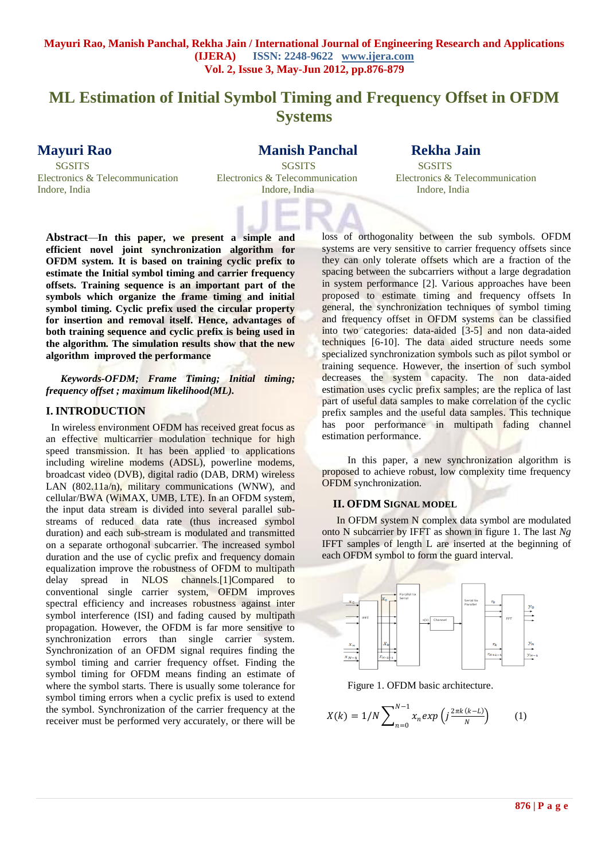# **ML Estimation of Initial Symbol Timing and Frequency Offset in OFDM Systems**

**Mayuri Rao Manish Panchal Rekha Jain** 

 SGSITS SGSITS SGSITS Electronics & Telecommunication Electronics & Telecommunication Electronics & Telecommunication Indore, India Indore, India Indore, India

**Abstract***—***In this paper, we present a simple and efficient novel joint synchronization algorithm for OFDM system. It is based on training cyclic prefix to estimate the Initial symbol timing and carrier frequency offsets. Training sequence is an important part of the symbols which organize the frame timing and initial symbol timing. Cyclic prefix used the circular property for insertion and removal itself. Hence, advantages of both training sequence and cyclic prefix is being used in the algorithm. The simulation results show that the new algorithm improved the performance**

*Keywords-OFDM; Frame Timing; Initial timing; frequency offset ; maximum likelihood(ML).*

# **I. INTRODUCTION**

 In wireless environment OFDM has received great focus as an effective multicarrier modulation technique for high speed transmission. It has been applied to applications including wireline modems (ADSL), powerline modems, broadcast video (DVB), digital radio (DAB, DRM) wireless LAN (802.11a/n), military communications (WNW), and cellular/BWA (WiMAX, UMB, LTE). In an OFDM system, the input data stream is divided into several parallel substreams of reduced data rate (thus increased symbol duration) and each sub-stream is modulated and transmitted on a separate orthogonal subcarrier. The increased symbol duration and the use of cyclic prefix and frequency domain equalization improve the robustness of OFDM to multipath delay spread in NLOS channels.[1]Compared to conventional single carrier system, OFDM improves spectral efficiency and increases robustness against inter symbol interference (ISI) and fading caused by multipath propagation. However, the OFDM is far more sensitive to synchronization errors than single carrier system. Synchronization of an OFDM signal requires finding the symbol timing and carrier frequency offset. Finding the symbol timing for OFDM means finding an estimate of where the symbol starts. There is usually some tolerance for symbol timing errors when a cyclic prefix is used to extend the symbol. Synchronization of the carrier frequency at the receiver must be performed very accurately, or there will be

loss of orthogonality between the sub symbols. OFDM systems are very sensitive to carrier frequency offsets since they can only tolerate offsets which are a fraction of the spacing between the subcarriers without a large degradation in system performance [2]. Various approaches have been proposed to estimate timing and frequency offsets In general, the synchronization techniques of symbol timing and frequency offset in OFDM systems can be classified into two categories: data-aided [3-5] and non data-aided techniques [6-10]. The data aided structure needs some specialized synchronization symbols such as pilot symbol or training sequence. However, the insertion of such symbol decreases the system capacity. The non data-aided estimation uses cyclic prefix samples; are the replica of last part of useful data samples to make correlation of the cyclic prefix samples and the useful data samples. This technique has poor performance in multipath fading channel estimation performance.

 In this paper, a new synchronization algorithm is proposed to achieve robust, low complexity time frequency OFDM synchronization.

#### **II. OFDM SIGNAL MODEL**

In OFDM system N complex data symbol are modulated onto N subcarrier by IFFT as shown in figure 1. The last *Ng*  IFFT samples of length L are inserted at the beginning of each OFDM symbol to form the guard interval.



Figure 1. OFDM basic architecture.

$$
X(k) = 1/N \sum_{n=0}^{N-1} x_n exp\left(j \frac{2\pi k (k-L)}{N}\right) \tag{1}
$$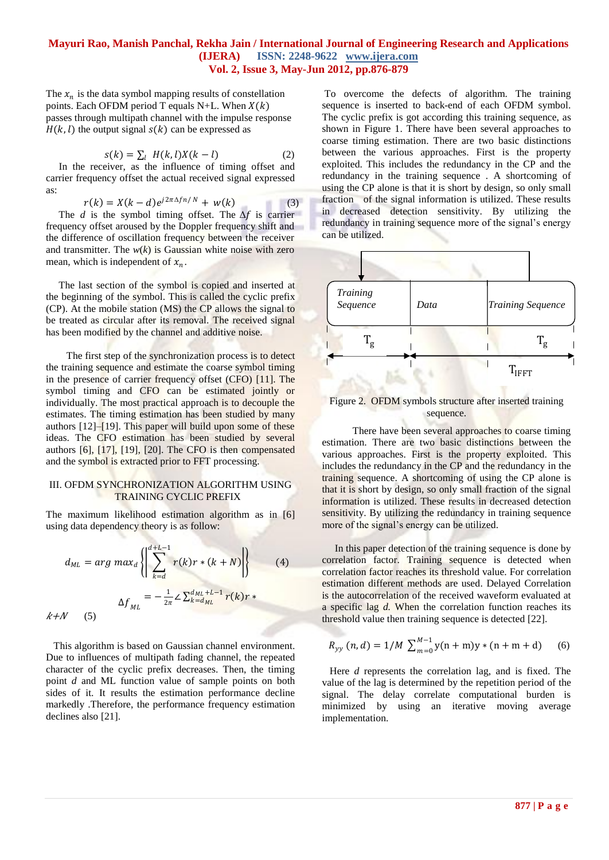The  $x_n$  is the data symbol mapping results of constellation points. Each OFDM period T equals N+L. When  $X(k)$ passes through multipath channel with the impulse response  $H(k, l)$  the output signal  $s(k)$  can be expressed as

$$
s(k) = \sum_{l} H(k, l)X(k - l) \tag{2}
$$

 In the receiver, as the influence of timing offset and carrier frequency offset the actual received signal expressed as:

$$
r(k) = X(k-d)e^{j2\pi\Delta f n/N} + w(k)
$$
 (3)

The *d* is the symbol timing offset. The  $\Delta f$  is carrier frequency offset aroused by the Doppler frequency shift and the difference of oscillation frequency between the receiver and transmitter. The  $w(k)$  is Gaussian white noise with zero mean, which is independent of  $x_n$ .

 The last section of the symbol is copied and inserted at the beginning of the symbol. This is called the cyclic prefix (CP). At the mobile station (MS) the CP allows the signal to be treated as circular after its removal. The received signal has been modified by the channel and additive noise.

 The first step of the synchronization process is to detect the training sequence and estimate the coarse symbol timing in the presence of carrier frequency offset (CFO) [11]. The symbol timing and CFO can be estimated jointly or individually. The most practical approach is to decouple the estimates. The timing estimation has been studied by many authors [12]–[19]. This paper will build upon some of these ideas. The CFO estimation has been studied by several authors [6], [17], [19], [20]. The CFO is then compensated and the symbol is extracted prior to FFT processing.

#### III. OFDM SYNCHRONIZATION ALGORITHM USING TRAINING CYCLIC PREFIX

The maximum likelihood estimation algorithm as in [6] using data dependency theory is as follow:

$$
d_{ML} = arg \ max_{d} \left\{ \left| \sum_{k=d}^{d+L-1} r(k)r * (k+N) \right| \right\}
$$
 (4)  

$$
\Delta f_{ML} = -\frac{1}{2\pi} \angle \sum_{k=d_{ML}}^{d_{ML}+L-1} r(k)r * \right\}
$$

 This algorithm is based on Gaussian channel environment. Due to influences of multipath fading channel, the repeated character of the cyclic prefix decreases. Then, the timing point *d* and ML function value of sample points on both sides of it. It results the estimation performance decline markedly .Therefore, the performance frequency estimation declines also [21].

To overcome the defects of algorithm. The training sequence is inserted to back-end of each OFDM symbol. The cyclic prefix is got according this training sequence, as shown in Figure 1. There have been several approaches to coarse timing estimation. There are two basic distinctions between the various approaches. First is the property exploited. This includes the redundancy in the CP and the redundancy in the training sequence . A shortcoming of using the CP alone is that it is short by design, so only small fraction of the signal information is utilized. These results in decreased detection sensitivity. By utilizing the redundancy in training sequence more of the signal's energy can be utilized.



## Figure 2. OFDM symbols structure after inserted training sequence.

 There have been several approaches to coarse timing estimation. There are two basic distinctions between the various approaches. First is the property exploited. This includes the redundancy in the CP and the redundancy in the training sequence. A shortcoming of using the CP alone is that it is short by design, so only small fraction of the signal information is utilized. These results in decreased detection sensitivity. By utilizing the redundancy in training sequence more of the signal's energy can be utilized.

 In this paper detection of the training sequence is done by correlation factor. Training sequence is detected when correlation factor reaches its threshold value. For correlation estimation different methods are used. Delayed Correlation is the autocorrelation of the received waveform evaluated at a specific lag *d.* When the correlation function reaches its threshold value then training sequence is detected [22].

$$
R_{yy}(n,d) = 1/M \sum_{m=0}^{M-1} y(n+m)y*(n+m+d)
$$
 (6)

 Here *d* represents the correlation lag, and is fixed. The value of the lag is determined by the repetition period of the signal. The delay correlate computational burden is minimized by using an iterative moving average implementation.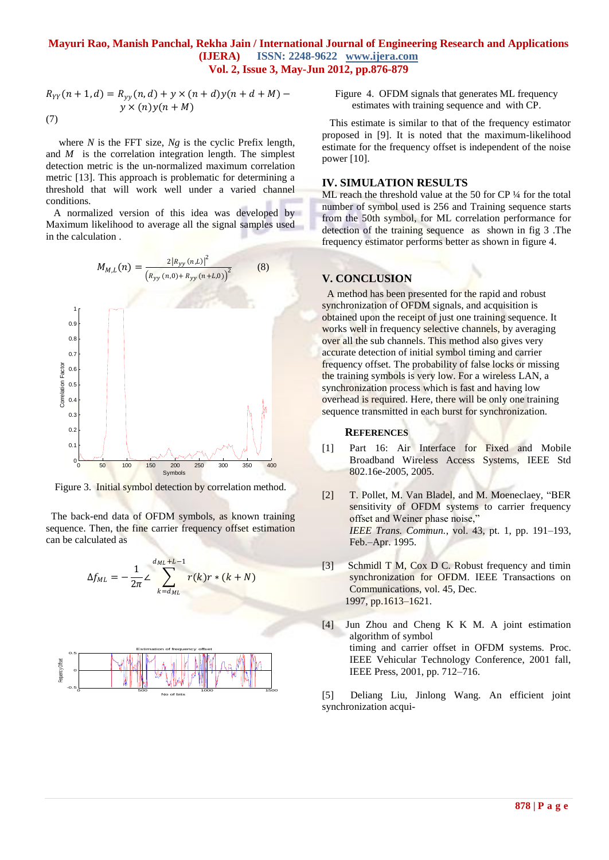$$
R_{YY}(n + 1, d) = R_{yy}(n, d) + y \times (n + d)y(n + d + M) - y \times (n)y(n + M)
$$
  
(7)

 where *N* is the FFT size, *Ng* is the cyclic Prefix length, and *M* is the correlation integration length. The simplest detection metric is the un-normalized maximum correlation metric [13]. This approach is problematic for determining a threshold that will work well under a varied channel conditions.

 A normalized version of this idea was developed by Maximum likelihood to average all the signal samples used in the calculation .



Figure 3. Initial symbol detection by correlation method.

 The back-end data of OFDM symbols, as known training sequence. Then, the fine carrier frequency offset estimation can be calculated as

$$
\Delta f_{ML} = -\frac{1}{2\pi} \sum_{k=d_{ML}}^{d_{ML}+L-1} r(k)r * (k+N)
$$

Figure 4. OFDM signals that generates ML frequency estimates with training sequence and with CP.

 This estimate is similar to that of the frequency estimator proposed in [9]. It is noted that the maximum-likelihood estimate for the frequency offset is independent of the noise power [10].

#### **IV. SIMULATION RESULTS**

ML reach the threshold value at the 50 for CP  $\frac{1}{4}$  for the total number of symbol used is 256 and Training sequence starts from the 50th symbol, for ML correlation performance for detection of the training sequence as shown in fig 3 .The frequency estimator performs better as shown in figure 4.

#### **V. CONCLUSION**

 A method has been presented for the rapid and robust synchronization of OFDM signals, and acquisition is obtained upon the receipt of just one training sequence. It works well in frequency selective channels, by averaging over all the sub channels. This method also gives very accurate detection of initial symbol timing and carrier frequency offset. The probability of false locks or missing the training symbols is very low. For a wireless LAN, a synchronization process which is fast and having low overhead is required. Here, there will be only one training sequence transmitted in each burst for synchronization.

#### **REFERENCES**

- [1] Part 16: Air Interface for Fixed and Mobile Broadband Wireless Access Systems, IEEE Std 802.16e-2005, 2005.
- [2] T. Pollet, M. Van Bladel, and M. Moeneclaey, "BER sensitivity of OFDM systems to carrier frequency offset and Weiner phase noise,"  *IEEE Trans. Commun.*, vol. 43, pt. 1, pp. 191–193, Feb.–Apr. 1995.
- [3] Schmidl T M, Cox D C. Robust frequency and timin synchronization for OFDM. IEEE Transactions on Communications, vol. 45, Dec. 1997, pp.1613–1621.
- [4] Jun Zhou and Cheng K K M. A joint estimation algorithm of symbol timing and carrier offset in OFDM systems. Proc. IEEE Vehicular Technology Conference, 2001 fall, IEEE Press, 2001, pp. 712–716.

[5] Deliang Liu, Jinlong Wang. An efficient joint synchronization acqui-